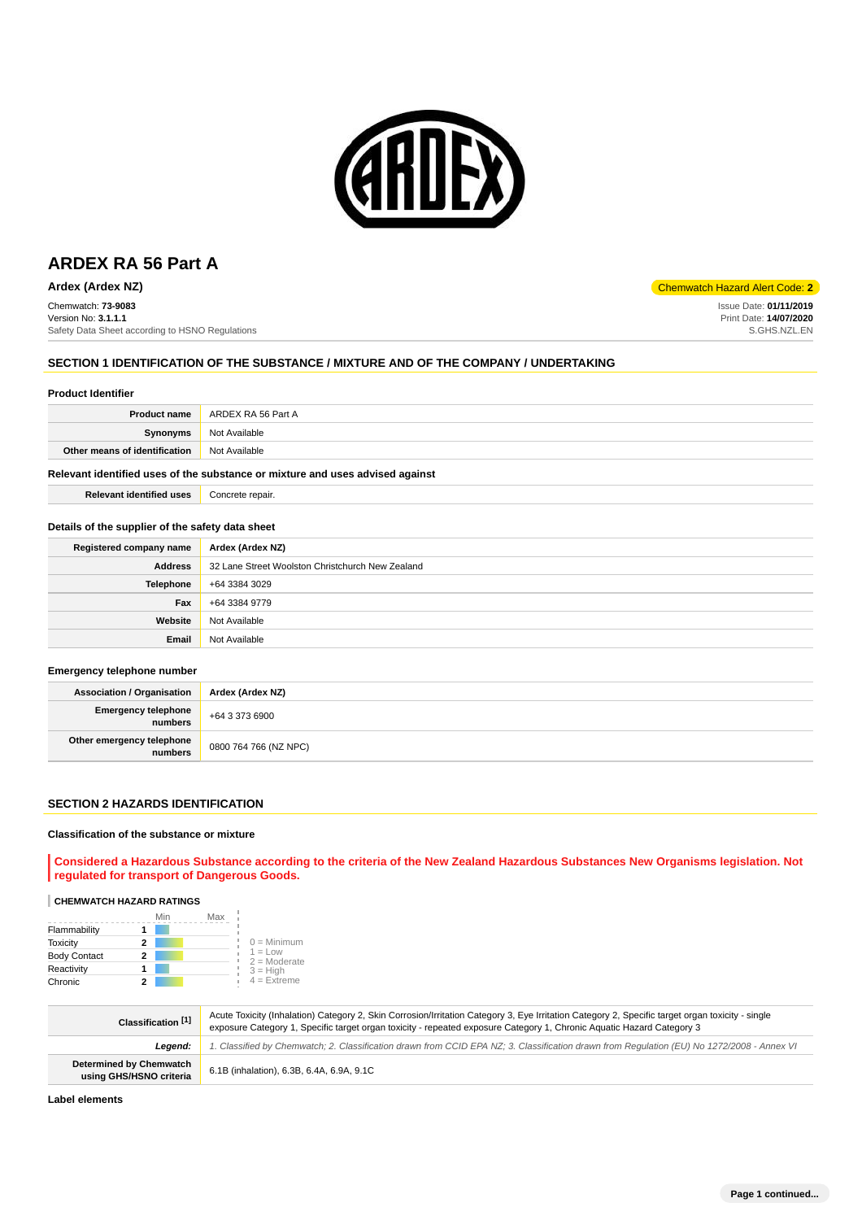

Chemwatch: **73-9083** Version No: **3.1.1.1** Safety Data Sheet according to HSNO Regulations

## **SECTION 1 IDENTIFICATION OF THE SUBSTANCE / MIXTURE AND OF THE COMPANY / UNDERTAKING**

#### **Product Identifier**

| <b>Product name</b>           | ARDEX RA 56 Part A |
|-------------------------------|--------------------|
| Synonyms                      | Not Available      |
| Other means of identification | Not Available      |
|                               |                    |

## **Relevant identified uses of the substance or mixture and uses advised against**

| <b>Relevant identified uses</b> | Concrete repair. |
|---------------------------------|------------------|
|---------------------------------|------------------|

## **Details of the supplier of the safety data sheet**

| Registered company name | Ardex (Ardex NZ)                                 |
|-------------------------|--------------------------------------------------|
| <b>Address</b>          | 32 Lane Street Woolston Christchurch New Zealand |
| <b>Telephone</b>        | +64 3384 3029                                    |
| Fax                     | +64 3384 9779                                    |
| Website                 | Not Available                                    |
| Email                   | Not Available                                    |

#### **Emergency telephone number**

| <b>Association / Organisation</b>            | Ardex (Ardex NZ)      |
|----------------------------------------------|-----------------------|
| <b>Emergency telephone</b><br><b>numbers</b> | +64 3 373 6900        |
| Other emergency telephone<br>numbers         | 0800 764 766 (NZ NPC) |

### **SECTION 2 HAZARDS IDENTIFICATION**

#### **Classification of the substance or mixture**

**Considered a Hazardous Substance according to the criteria of the New Zealand Hazardous Substances New Organisms legislation. Not regulated for transport of Dangerous Goods.**

# **CHEMWATCH HAZARD RATINGS**

|                     |   | Min<br>Max |                             |
|---------------------|---|------------|-----------------------------|
| Flammability        |   |            |                             |
| <b>Toxicity</b>     | 2 |            | $0 =$ Minimum               |
| <b>Body Contact</b> | 2 |            | $1 = Low$<br>$2 =$ Moderate |
| Reactivity          |   |            | $3 = High$                  |
| Chronic             |   |            | $4 =$ Extreme               |

| Classification [1]                                        | Acute Toxicity (Inhalation) Category 2, Skin Corrosion/Irritation Category 3, Eye Irritation Category 2, Specific target organ toxicity - single<br>exposure Category 1, Specific target organ toxicity - repeated exposure Category 1, Chronic Aquatic Hazard Category 3 |
|-----------------------------------------------------------|---------------------------------------------------------------------------------------------------------------------------------------------------------------------------------------------------------------------------------------------------------------------------|
| Leaend:                                                   | 1. Classified by Chemwatch; 2. Classification drawn from CCID EPA NZ; 3. Classification drawn from Requlation (EU) No 1272/2008 - Annex VI                                                                                                                                |
| <b>Determined by Chemwatch</b><br>using GHS/HSNO criteria | 6.1B (inhalation), 6.3B, 6.4A, 6.9A, 9.1C                                                                                                                                                                                                                                 |

**Label elements**

# **Ardex (Ardex NZ)** Chemwatch Hazard Alert Code: **2**

Issue Date: **01/11/2019** Print Date: **14/07/2020** S.GHS.NZL.EN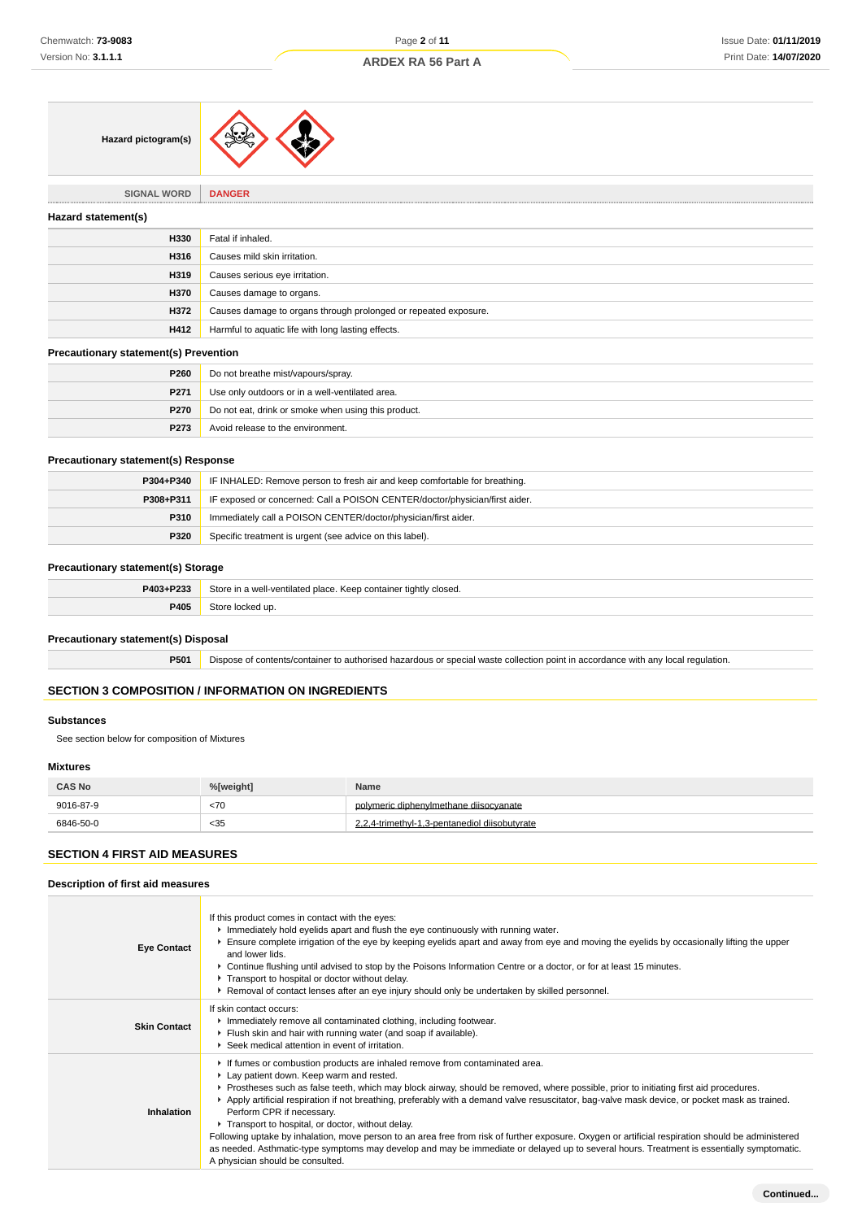

**SIGNAL WORD DANGER**

| Hazard statement(s) |                                                                 |
|---------------------|-----------------------------------------------------------------|
| H330                | Fatal if inhaled.                                               |
| H316                | Causes mild skin irritation.                                    |
| H319                | Causes serious eye irritation.                                  |
| H370                | Causes damage to organs.                                        |
| H372                | Causes damage to organs through prolonged or repeated exposure. |
| H412                | Harmful to aquatic life with long lasting effects.              |
|                     |                                                                 |

#### **Precautionary statement(s) Prevention**

| P260        | Do not breathe mist/vapours/spray.                  |
|-------------|-----------------------------------------------------|
| P271        | Use only outdoors or in a well-ventilated area.     |
| <b>P270</b> | Do not eat, drink or smoke when using this product. |
| P273        | Avoid release to the environment.                   |

## **Precautionary statement(s) Response**

| P304+P340 | IF INHALED: Remove person to fresh air and keep comfortable for breathing.  |
|-----------|-----------------------------------------------------------------------------|
| P308+P311 | IF exposed or concerned: Call a POISON CENTER/doctor/physician/first aider. |
| P310      | Immediately call a POISON CENTER/doctor/physician/first aider.              |
| P320      | Specific treatment is urgent (see advice on this label).                    |

#### **Precautionary statement(s) Storage**

| <b>DA02.D222</b>   | Store<br>∵tightly closed.<br>MQ<br>inlace.<br>container<br>Keen :<br><b>VVC</b> |
|--------------------|---------------------------------------------------------------------------------|
| <b>DANA</b><br>⊳ט≁ | $\mathbf{m}$                                                                    |

## **Precautionary statement(s) Disposal**

**P501** Dispose of contents/container to authorised hazardous or special waste collection point in accordance with any local regulation.

## **SECTION 3 COMPOSITION / INFORMATION ON INGREDIENTS**

#### **Substances**

See section below for composition of Mixtures

#### **Mixtures**

| <b>CAS No</b> | %[weight] | <b>Name</b>                                   |
|---------------|-----------|-----------------------------------------------|
| 9016-87-9     | <70       | polymeric diphenylmethane diisocyanate        |
| 6846-50-0     | < 35      | 2.2.4-trimethyl-1.3-pentanediol diisobutyrate |

# **SECTION 4 FIRST AID MEASURES**

**Description of first aid measures**

#### **Eye Contact** If this product comes in contact with the eyes: Immediately hold eyelids apart and flush the eye continuously with running water. Ensure complete irrigation of the eye by keeping eyelids apart and away from eye and moving the eyelids by occasionally lifting the upper and lower lids. Continue flushing until advised to stop by the Poisons Information Centre or a doctor, or for at least 15 minutes. **Transport to hospital or doctor without delay.** Removal of contact lenses after an eye injury should only be undertaken by skilled personnel. **Skin Contact** If skin contact occurs: Immediately remove all contaminated clothing, including footwear. Flush skin and hair with running water (and soap if available). Seek medical attention in event of irritation. **Inhalation** If fumes or combustion products are inhaled remove from contaminated area. Lay patient down. Keep warm and rested. Prostheses such as false teeth, which may block airway, should be removed, where possible, prior to initiating first aid procedures. Apply artificial respiration if not breathing, preferably with a demand valve resuscitator, bag-valve mask device, or pocket mask as trained. Perform CPR if necessary. **Transport to hospital, or doctor, without delay.** Following uptake by inhalation, move person to an area free from risk of further exposure. Oxygen or artificial respiration should be administered as needed. Asthmatic-type symptoms may develop and may be immediate or delayed up to several hours. Treatment is essentially symptomatic. A physician should be consulted.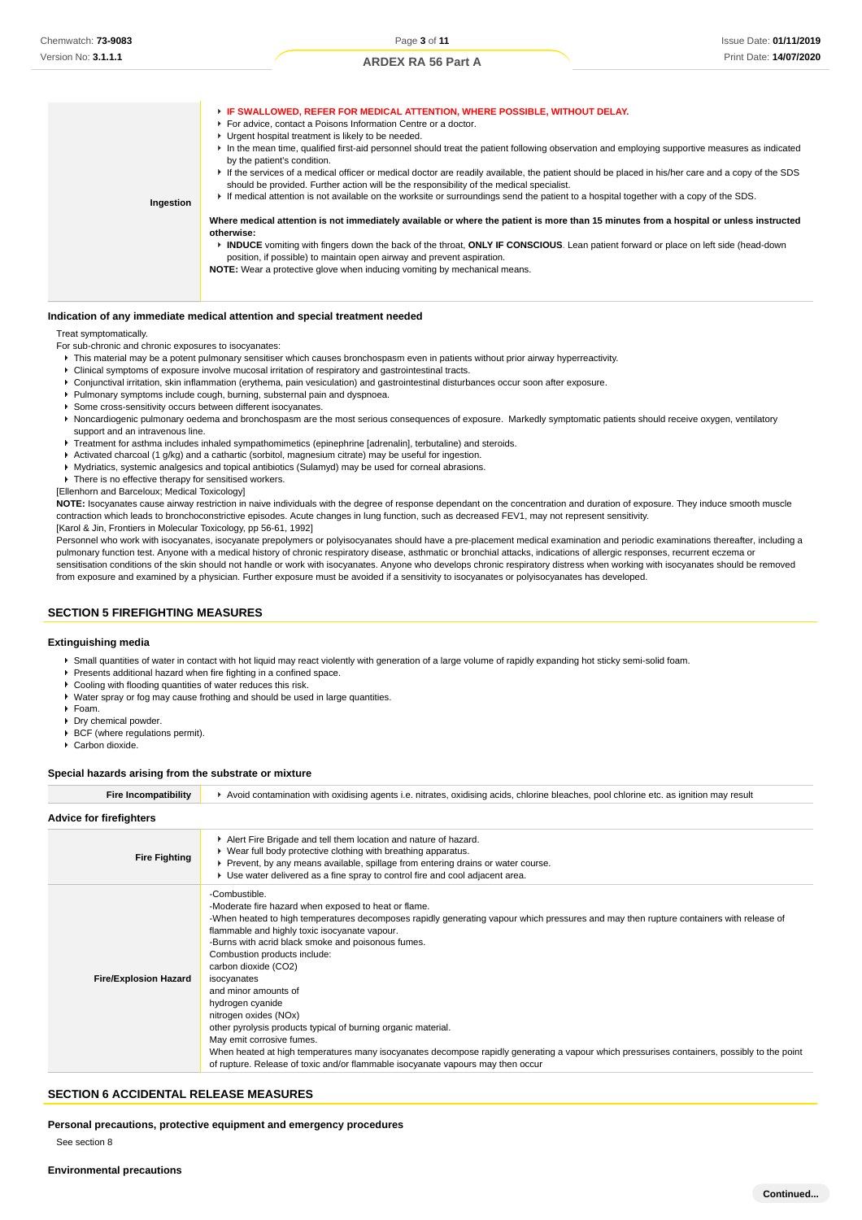| Ingestion | F IF SWALLOWED, REFER FOR MEDICAL ATTENTION, WHERE POSSIBLE, WITHOUT DELAY.<br>For advice, contact a Poisons Information Centre or a doctor.<br>• Urgent hospital treatment is likely to be needed.<br>In the mean time, qualified first-aid personnel should treat the patient following observation and employing supportive measures as indicated<br>by the patient's condition.<br>If the services of a medical officer or medical doctor are readily available, the patient should be placed in his/her care and a copy of the SDS<br>should be provided. Further action will be the responsibility of the medical specialist.<br>► If medical attention is not available on the worksite or surroundings send the patient to a hospital together with a copy of the SDS. |
|-----------|--------------------------------------------------------------------------------------------------------------------------------------------------------------------------------------------------------------------------------------------------------------------------------------------------------------------------------------------------------------------------------------------------------------------------------------------------------------------------------------------------------------------------------------------------------------------------------------------------------------------------------------------------------------------------------------------------------------------------------------------------------------------------------|
|           | Where medical attention is not immediately available or where the patient is more than 15 minutes from a hospital or unless instructed<br>otherwise:<br>INDUCE vomiting with fingers down the back of the throat, ONLY IF CONSCIOUS. Lean patient forward or place on left side (head-down<br>position, if possible) to maintain open airway and prevent aspiration.<br><b>NOTE:</b> Wear a protective glove when inducing vomiting by mechanical means.                                                                                                                                                                                                                                                                                                                       |

#### **Indication of any immediate medical attention and special treatment needed**

### Treat symptomatically.

- For sub-chronic and chronic exposures to isocyanates:
- This material may be a potent pulmonary sensitiser which causes bronchospasm even in patients without prior airway hyperreactivity.
- Clinical symptoms of exposure involve mucosal irritation of respiratory and gastrointestinal tracts.
- Conjunctival irritation, skin inflammation (erythema, pain vesiculation) and gastrointestinal disturbances occur soon after exposure.
- Pulmonary symptoms include cough, burning, substernal pain and dyspnoea.
- Some cross-sensitivity occurs between different isocyanates.
- Noncardiogenic pulmonary oedema and bronchospasm are the most serious consequences of exposure. Markedly symptomatic patients should receive oxygen, ventilatory support and an intravenous line.
- k. Treatment for asthma includes inhaled sympathomimetics (epinephrine [adrenalin], terbutaline) and steroids.
- Activated charcoal (1 g/kg) and a cathartic (sorbitol, magnesium citrate) may be useful for ingestion.
- Mydriatics, systemic analgesics and topical antibiotics (Sulamyd) may be used for corneal abrasions.

**F** There is no effective therapy for sensitised workers.

[Ellenhorn and Barceloux; Medical Toxicology]

**NOTE:** Isocyanates cause airway restriction in naive individuals with the degree of response dependant on the concentration and duration of exposure. They induce smooth muscle contraction which leads to bronchoconstrictive episodes. Acute changes in lung function, such as decreased FEV1, may not represent sensitivity. [Karol & Jin, Frontiers in Molecular Toxicology, pp 56-61, 1992]

Personnel who work with isocyanates, isocyanate prepolymers or polyisocyanates should have a pre-placement medical examination and periodic examinations thereafter, including a pulmonary function test. Anyone with a medical history of chronic respiratory disease, asthmatic or bronchial attacks, indications of allergic responses, recurrent eczema or sensitisation conditions of the skin should not handle or work with isocyanates. Anyone who develops chronic respiratory distress when working with isocyanates should be removed from exposure and examined by a physician. Further exposure must be avoided if a sensitivity to isocyanates or polyisocyanates has developed.

### **SECTION 5 FIREFIGHTING MEASURES**

### **Extinguishing media**

- Small quantities of water in contact with hot liquid may react violently with generation of a large volume of rapidly expanding hot sticky semi-solid foam.
- Presents additional hazard when fire fighting in a confined space.
- ▶ Cooling with flooding quantities of water reduces this risk
- Water spray or fog may cause frothing and should be used in large quantities.
- $F$ Foam.
- Dry chemical powder.
- **BCF** (where regulations permit). ▶ Carbon dioxide
- 

#### **Special hazards arising from the substrate or mixture**

| <b>Fire Incompatibility</b>    | ► Avoid contamination with oxidising agents i.e. nitrates, oxidising acids, chlorine bleaches, pool chlorine etc. as ignition may result                                                                                                                                                                                                                                                                                                                                                                                                                                                                                                                                                                                                                                                           |
|--------------------------------|----------------------------------------------------------------------------------------------------------------------------------------------------------------------------------------------------------------------------------------------------------------------------------------------------------------------------------------------------------------------------------------------------------------------------------------------------------------------------------------------------------------------------------------------------------------------------------------------------------------------------------------------------------------------------------------------------------------------------------------------------------------------------------------------------|
| <b>Advice for firefighters</b> |                                                                                                                                                                                                                                                                                                                                                                                                                                                                                                                                                                                                                                                                                                                                                                                                    |
| <b>Fire Fighting</b>           | Alert Fire Brigade and tell them location and nature of hazard.<br>▶ Wear full body protective clothing with breathing apparatus.<br>▶ Prevent, by any means available, spillage from entering drains or water course.<br>► Use water delivered as a fine spray to control fire and cool adjacent area.                                                                                                                                                                                                                                                                                                                                                                                                                                                                                            |
| <b>Fire/Explosion Hazard</b>   | -Combustible.<br>-Moderate fire hazard when exposed to heat or flame.<br>-When heated to high temperatures decomposes rapidly generating vapour which pressures and may then rupture containers with release of<br>flammable and highly toxic isocyanate vapour.<br>-Burns with acrid black smoke and poisonous fumes.<br>Combustion products include:<br>carbon dioxide (CO2)<br>isocyanates<br>and minor amounts of<br>hydrogen cyanide<br>nitrogen oxides (NOx)<br>other pyrolysis products typical of burning organic material.<br>May emit corrosive fumes.<br>When heated at high temperatures many isocyanates decompose rapidly generating a vapour which pressurises containers, possibly to the point<br>of rupture. Release of toxic and/or flammable isocyanate vapours may then occur |

### **SECTION 6 ACCIDENTAL RELEASE MEASURES**

**Personal precautions, protective equipment and emergency procedures**

See section 8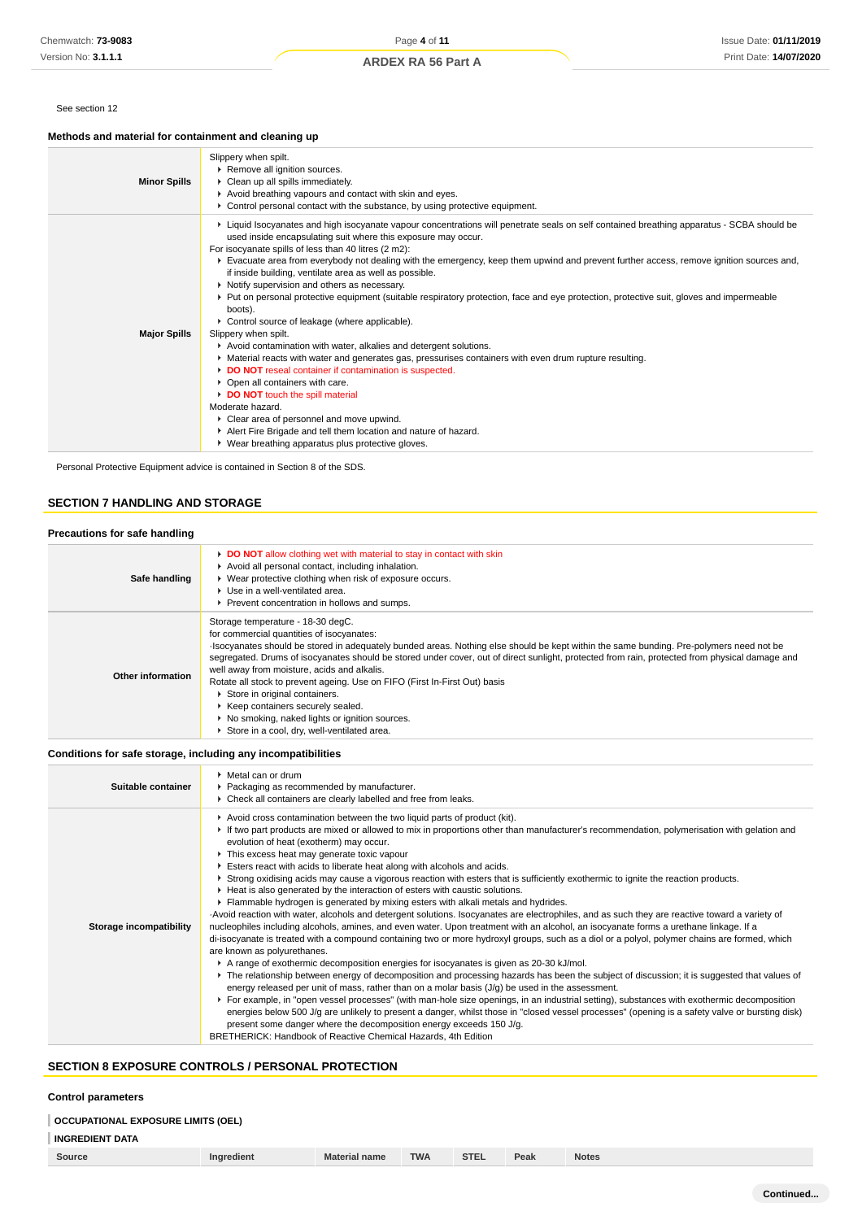#### See section 12

# **Methods and material for containment and cleaning up**

| <b>Minor Spills</b> | Slippery when spilt.<br>▶ Remove all ignition sources.<br>• Clean up all spills immediately.<br>Avoid breathing vapours and contact with skin and eyes.<br>$\triangleright$ Control personal contact with the substance, by using protective equipment.                                                                                                                                                                                                                                                                                                                                                                                                                                                                                                                                                                                                                                                                                                                                                                                                                                                                                                                                                                                                                   |
|---------------------|---------------------------------------------------------------------------------------------------------------------------------------------------------------------------------------------------------------------------------------------------------------------------------------------------------------------------------------------------------------------------------------------------------------------------------------------------------------------------------------------------------------------------------------------------------------------------------------------------------------------------------------------------------------------------------------------------------------------------------------------------------------------------------------------------------------------------------------------------------------------------------------------------------------------------------------------------------------------------------------------------------------------------------------------------------------------------------------------------------------------------------------------------------------------------------------------------------------------------------------------------------------------------|
| <b>Major Spills</b> | ▶ Liquid Isocyanates and high isocyanate vapour concentrations will penetrate seals on self contained breathing apparatus - SCBA should be<br>used inside encapsulating suit where this exposure may occur.<br>For isocyanate spills of less than 40 litres (2 m2):<br>Evacuate area from everybody not dealing with the emergency, keep them upwind and prevent further access, remove ignition sources and,<br>if inside building, ventilate area as well as possible.<br>• Notify supervision and others as necessary.<br>▶ Put on personal protective equipment (suitable respiratory protection, face and eye protection, protective suit, gloves and impermeable<br>boots).<br>• Control source of leakage (where applicable).<br>Slippery when spilt.<br>Avoid contamination with water, alkalies and detergent solutions.<br>• Material reacts with water and generates gas, pressurises containers with even drum rupture resulting.<br>DO NOT reseal container if contamination is suspected.<br>• Open all containers with care.<br>DO NOT touch the spill material<br>Moderate hazard.<br>▶ Clear area of personnel and move upwind.<br>Alert Fire Brigade and tell them location and nature of hazard.<br>▶ Wear breathing apparatus plus protective gloves. |

Personal Protective Equipment advice is contained in Section 8 of the SDS.

# **SECTION 7 HANDLING AND STORAGE**

| Precautions for safe handling |                                                                                                                                                                                                                                                                                                                                                                                                                                                                                                                                                                                                                                                                                  |
|-------------------------------|----------------------------------------------------------------------------------------------------------------------------------------------------------------------------------------------------------------------------------------------------------------------------------------------------------------------------------------------------------------------------------------------------------------------------------------------------------------------------------------------------------------------------------------------------------------------------------------------------------------------------------------------------------------------------------|
| Safe handling                 | DO NOT allow clothing wet with material to stay in contact with skin<br>Avoid all personal contact, including inhalation.<br>▶ Wear protective clothing when risk of exposure occurs.<br>Use in a well-ventilated area.<br>Prevent concentration in hollows and sumps.                                                                                                                                                                                                                                                                                                                                                                                                           |
| Other information             | Storage temperature - 18-30 degC.<br>for commercial quantities of isocyanates:<br>Isocyanates should be stored in adequately bunded areas. Nothing else should be kept within the same bunding. Pre-polymers need not be<br>segregated. Drums of isocyanates should be stored under cover, out of direct sunlight, protected from rain, protected from physical damage and<br>well away from moisture, acids and alkalis.<br>Rotate all stock to prevent ageing. Use on FIFO (First In-First Out) basis<br>Store in original containers.<br>▶ Keep containers securely sealed.<br>▶ No smoking, naked lights or ignition sources.<br>Store in a cool, dry, well-ventilated area. |

**Conditions for safe storage, including any incompatibilities**

| Suitable container      | ▶ Metal can or drum<br>▶ Packaging as recommended by manufacturer.<br>• Check all containers are clearly labelled and free from leaks.                                                                                                                                                                                                                                                                                                                                                                                                                                                                                                                                                                                                                                                                                                                                                                                                                                                                                                                                                                                                                                                                                                                                                                                                                                                                                                                                                                                                                                                                                                                                                                                                                                                                                                                                                                                                                                       |
|-------------------------|------------------------------------------------------------------------------------------------------------------------------------------------------------------------------------------------------------------------------------------------------------------------------------------------------------------------------------------------------------------------------------------------------------------------------------------------------------------------------------------------------------------------------------------------------------------------------------------------------------------------------------------------------------------------------------------------------------------------------------------------------------------------------------------------------------------------------------------------------------------------------------------------------------------------------------------------------------------------------------------------------------------------------------------------------------------------------------------------------------------------------------------------------------------------------------------------------------------------------------------------------------------------------------------------------------------------------------------------------------------------------------------------------------------------------------------------------------------------------------------------------------------------------------------------------------------------------------------------------------------------------------------------------------------------------------------------------------------------------------------------------------------------------------------------------------------------------------------------------------------------------------------------------------------------------------------------------------------------------|
| Storage incompatibility | Avoid cross contamination between the two liquid parts of product (kit).<br>If two part products are mixed or allowed to mix in proportions other than manufacturer's recommendation, polymerisation with gelation and<br>evolution of heat (exotherm) may occur.<br>This excess heat may generate toxic vapour<br>Esters react with acids to liberate heat along with alcohols and acids.<br>▶ Strong oxidising acids may cause a vigorous reaction with esters that is sufficiently exothermic to ignite the reaction products.<br>▶ Heat is also generated by the interaction of esters with caustic solutions.<br>Flammable hydrogen is generated by mixing esters with alkali metals and hydrides.<br>-Avoid reaction with water, alcohols and detergent solutions. Isocyanates are electrophiles, and as such they are reactive toward a variety of<br>nucleophiles including alcohols, amines, and even water. Upon treatment with an alcohol, an isocyanate forms a urethane linkage. If a<br>di-isocyanate is treated with a compound containing two or more hydroxyl groups, such as a diol or a polyol, polymer chains are formed, which<br>are known as polyurethanes.<br>A range of exothermic decomposition energies for isocyanates is given as 20-30 kJ/mol.<br>► The relationship between energy of decomposition and processing hazards has been the subject of discussion; it is suggested that values of<br>energy released per unit of mass, rather than on a molar basis $(J/g)$ be used in the assessment.<br>▶ For example, in "open vessel processes" (with man-hole size openings, in an industrial setting), substances with exothermic decomposition<br>energies below 500 J/g are unlikely to present a danger, whilst those in "closed vessel processes" (opening is a safety valve or bursting disk)<br>present some danger where the decomposition energy exceeds 150 J/g.<br>BRETHERICK: Handbook of Reactive Chemical Hazards, 4th Edition |

# **SECTION 8 EXPOSURE CONTROLS / PERSONAL PROTECTION**

## **Control parameters**

# **INGREDIENT DATA**

| Source | edient<br>ınar | <b>name</b><br>Mat | <b>TWA</b> | <b>STEL</b> | Peak | <b>Notes</b> |
|--------|----------------|--------------------|------------|-------------|------|--------------|
|        |                |                    |            |             |      |              |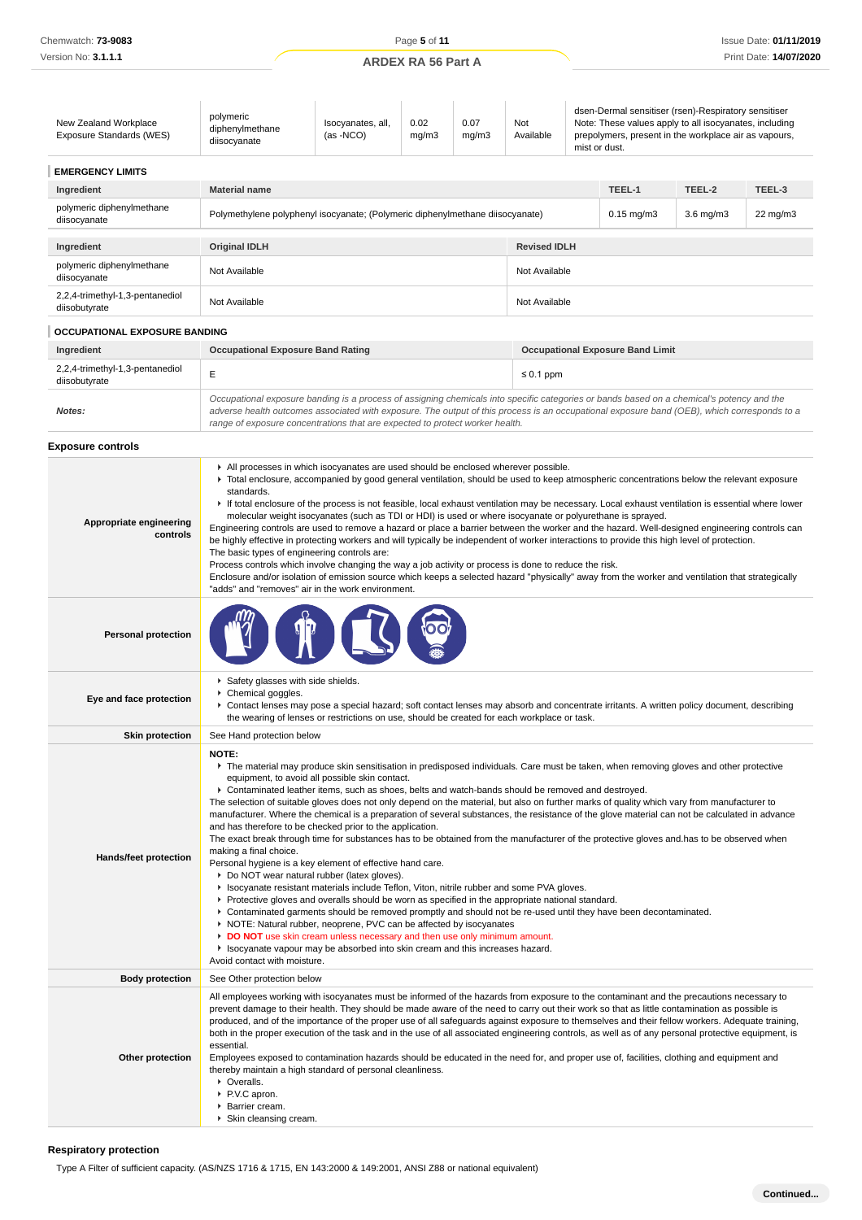| New Zealand Workplace<br>Exposure Standards (WES) | polymeric<br>diphenylmethane<br>diisocyanate                                                                                                                                                                                                                                                                                                                                                                                                                                                                                                                                                                                                                                                                                                                                                                                                                                                                                                                                                                                                                                                                                                                                                                                                                                                                                                                                                                                                                                                                                                                | Isocyanates, all,<br>$(as -NCO)$ | 0.02<br>mg/m3 | 0.07<br>mg/m3 | Not<br>Available    | dsen-Dermal sensitiser (rsen)-Respiratory sensitiser<br>Note: These values apply to all isocyanates, including<br>prepolymers, present in the workplace air as vapours,<br>mist or dust.                                                                                                 |                |          |  |
|---------------------------------------------------|-------------------------------------------------------------------------------------------------------------------------------------------------------------------------------------------------------------------------------------------------------------------------------------------------------------------------------------------------------------------------------------------------------------------------------------------------------------------------------------------------------------------------------------------------------------------------------------------------------------------------------------------------------------------------------------------------------------------------------------------------------------------------------------------------------------------------------------------------------------------------------------------------------------------------------------------------------------------------------------------------------------------------------------------------------------------------------------------------------------------------------------------------------------------------------------------------------------------------------------------------------------------------------------------------------------------------------------------------------------------------------------------------------------------------------------------------------------------------------------------------------------------------------------------------------------|----------------------------------|---------------|---------------|---------------------|------------------------------------------------------------------------------------------------------------------------------------------------------------------------------------------------------------------------------------------------------------------------------------------|----------------|----------|--|
| <b>EMERGENCY LIMITS</b>                           |                                                                                                                                                                                                                                                                                                                                                                                                                                                                                                                                                                                                                                                                                                                                                                                                                                                                                                                                                                                                                                                                                                                                                                                                                                                                                                                                                                                                                                                                                                                                                             |                                  |               |               |                     |                                                                                                                                                                                                                                                                                          |                |          |  |
| Ingredient                                        | <b>Material name</b>                                                                                                                                                                                                                                                                                                                                                                                                                                                                                                                                                                                                                                                                                                                                                                                                                                                                                                                                                                                                                                                                                                                                                                                                                                                                                                                                                                                                                                                                                                                                        |                                  |               |               |                     | TEEL-1                                                                                                                                                                                                                                                                                   | TEEL-2         | TEEL-3   |  |
| polymeric diphenylmethane<br>diisocyanate         | Polymethylene polyphenyl isocyanate; (Polymeric diphenylmethane diisocyanate)                                                                                                                                                                                                                                                                                                                                                                                                                                                                                                                                                                                                                                                                                                                                                                                                                                                                                                                                                                                                                                                                                                                                                                                                                                                                                                                                                                                                                                                                               |                                  |               |               |                     | $0.15$ mg/m $3$                                                                                                                                                                                                                                                                          | $3.6$ mg/m $3$ | 22 mg/m3 |  |
| Ingredient                                        | <b>Original IDLH</b>                                                                                                                                                                                                                                                                                                                                                                                                                                                                                                                                                                                                                                                                                                                                                                                                                                                                                                                                                                                                                                                                                                                                                                                                                                                                                                                                                                                                                                                                                                                                        |                                  |               |               | <b>Revised IDLH</b> |                                                                                                                                                                                                                                                                                          |                |          |  |
| polymeric diphenylmethane<br>diisocyanate         | Not Available                                                                                                                                                                                                                                                                                                                                                                                                                                                                                                                                                                                                                                                                                                                                                                                                                                                                                                                                                                                                                                                                                                                                                                                                                                                                                                                                                                                                                                                                                                                                               |                                  |               |               | Not Available       |                                                                                                                                                                                                                                                                                          |                |          |  |
| 2,2,4-trimethyl-1,3-pentanediol<br>diisobutyrate  | Not Available                                                                                                                                                                                                                                                                                                                                                                                                                                                                                                                                                                                                                                                                                                                                                                                                                                                                                                                                                                                                                                                                                                                                                                                                                                                                                                                                                                                                                                                                                                                                               |                                  |               |               | Not Available       |                                                                                                                                                                                                                                                                                          |                |          |  |
| <b>OCCUPATIONAL EXPOSURE BANDING</b>              |                                                                                                                                                                                                                                                                                                                                                                                                                                                                                                                                                                                                                                                                                                                                                                                                                                                                                                                                                                                                                                                                                                                                                                                                                                                                                                                                                                                                                                                                                                                                                             |                                  |               |               |                     |                                                                                                                                                                                                                                                                                          |                |          |  |
| Ingredient                                        | <b>Occupational Exposure Band Rating</b>                                                                                                                                                                                                                                                                                                                                                                                                                                                                                                                                                                                                                                                                                                                                                                                                                                                                                                                                                                                                                                                                                                                                                                                                                                                                                                                                                                                                                                                                                                                    |                                  |               |               |                     | <b>Occupational Exposure Band Limit</b>                                                                                                                                                                                                                                                  |                |          |  |
| 2,2,4-trimethyl-1,3-pentanediol<br>diisobutyrate  | E                                                                                                                                                                                                                                                                                                                                                                                                                                                                                                                                                                                                                                                                                                                                                                                                                                                                                                                                                                                                                                                                                                                                                                                                                                                                                                                                                                                                                                                                                                                                                           |                                  |               |               | $\leq 0.1$ ppm      |                                                                                                                                                                                                                                                                                          |                |          |  |
| Notes:                                            | range of exposure concentrations that are expected to protect worker health.                                                                                                                                                                                                                                                                                                                                                                                                                                                                                                                                                                                                                                                                                                                                                                                                                                                                                                                                                                                                                                                                                                                                                                                                                                                                                                                                                                                                                                                                                |                                  |               |               |                     | Occupational exposure banding is a process of assigning chemicals into specific categories or bands based on a chemical's potency and the<br>adverse health outcomes associated with exposure. The output of this process is an occupational exposure band (OEB), which corresponds to a |                |          |  |
| <b>Exposure controls</b>                          |                                                                                                                                                                                                                                                                                                                                                                                                                                                                                                                                                                                                                                                                                                                                                                                                                                                                                                                                                                                                                                                                                                                                                                                                                                                                                                                                                                                                                                                                                                                                                             |                                  |               |               |                     |                                                                                                                                                                                                                                                                                          |                |          |  |
| Appropriate engineering<br>controls               | All processes in which isocyanates are used should be enclosed wherever possible.<br>▶ Total enclosure, accompanied by good general ventilation, should be used to keep atmospheric concentrations below the relevant exposure<br>standards.<br>If total enclosure of the process is not feasible, local exhaust ventilation may be necessary. Local exhaust ventilation is essential where lower<br>molecular weight isocyanates (such as TDI or HDI) is used or where isocyanate or polyurethane is sprayed.<br>Engineering controls are used to remove a hazard or place a barrier between the worker and the hazard. Well-designed engineering controls can<br>be highly effective in protecting workers and will typically be independent of worker interactions to provide this high level of protection.<br>The basic types of engineering controls are:<br>Process controls which involve changing the way a job activity or process is done to reduce the risk.<br>Enclosure and/or isolation of emission source which keeps a selected hazard "physically" away from the worker and ventilation that strategically<br>"adds" and "removes" air in the work environment.                                                                                                                                                                                                                                                                                                                                                                           |                                  |               |               |                     |                                                                                                                                                                                                                                                                                          |                |          |  |
| <b>Personal protection</b>                        |                                                                                                                                                                                                                                                                                                                                                                                                                                                                                                                                                                                                                                                                                                                                                                                                                                                                                                                                                                                                                                                                                                                                                                                                                                                                                                                                                                                                                                                                                                                                                             |                                  |               |               |                     |                                                                                                                                                                                                                                                                                          |                |          |  |
| Eye and face protection                           | Safety glasses with side shields.<br>Chemical goggles.<br>▶ Contact lenses may pose a special hazard; soft contact lenses may absorb and concentrate irritants. A written policy document, describing<br>the wearing of lenses or restrictions on use, should be created for each workplace or task.                                                                                                                                                                                                                                                                                                                                                                                                                                                                                                                                                                                                                                                                                                                                                                                                                                                                                                                                                                                                                                                                                                                                                                                                                                                        |                                  |               |               |                     |                                                                                                                                                                                                                                                                                          |                |          |  |
| <b>Skin protection</b>                            | See Hand protection below                                                                                                                                                                                                                                                                                                                                                                                                                                                                                                                                                                                                                                                                                                                                                                                                                                                                                                                                                                                                                                                                                                                                                                                                                                                                                                                                                                                                                                                                                                                                   |                                  |               |               |                     |                                                                                                                                                                                                                                                                                          |                |          |  |
| Hands/feet protection                             | NOTE:<br>The material may produce skin sensitisation in predisposed individuals. Care must be taken, when removing gloves and other protective<br>equipment, to avoid all possible skin contact.<br>▶ Contaminated leather items, such as shoes, belts and watch-bands should be removed and destroyed.<br>The selection of suitable gloves does not only depend on the material, but also on further marks of quality which vary from manufacturer to<br>manufacturer. Where the chemical is a preparation of several substances, the resistance of the glove material can not be calculated in advance<br>and has therefore to be checked prior to the application.<br>The exact break through time for substances has to be obtained from the manufacturer of the protective gloves and has to be observed when<br>making a final choice.<br>Personal hygiene is a key element of effective hand care.<br>• Do NOT wear natural rubber (latex gloves).<br>In Isocyanate resistant materials include Teflon, Viton, nitrile rubber and some PVA gloves.<br>▶ Protective gloves and overalls should be worn as specified in the appropriate national standard.<br>▶ Contaminated garments should be removed promptly and should not be re-used until they have been decontaminated.<br>▶ NOTE: Natural rubber, neoprene, PVC can be affected by isocyanates<br>DO NOT use skin cream unless necessary and then use only minimum amount.<br>In Isocyanate vapour may be absorbed into skin cream and this increases hazard.<br>Avoid contact with moisture. |                                  |               |               |                     |                                                                                                                                                                                                                                                                                          |                |          |  |
| <b>Body protection</b>                            | See Other protection below                                                                                                                                                                                                                                                                                                                                                                                                                                                                                                                                                                                                                                                                                                                                                                                                                                                                                                                                                                                                                                                                                                                                                                                                                                                                                                                                                                                                                                                                                                                                  |                                  |               |               |                     |                                                                                                                                                                                                                                                                                          |                |          |  |
| Other protection                                  | All employees working with isocyanates must be informed of the hazards from exposure to the contaminant and the precautions necessary to<br>prevent damage to their health. They should be made aware of the need to carry out their work so that as little contamination as possible is<br>produced, and of the importance of the proper use of all safeguards against exposure to themselves and their fellow workers. Adequate training,<br>both in the proper execution of the task and in the use of all associated engineering controls, as well as of any personal protective equipment, is<br>essential.<br>Employees exposed to contamination hazards should be educated in the need for, and proper use of, facilities, clothing and equipment and<br>thereby maintain a high standard of personal cleanliness.<br>• Overalls.<br>▶ P.V.C apron.<br>Barrier cream.<br>▶ Skin cleansing cream.                                                                                                                                                                                                                                                                                                                                                                                                                                                                                                                                                                                                                                                     |                                  |               |               |                     |                                                                                                                                                                                                                                                                                          |                |          |  |

## **Respiratory protection**

Type A Filter of sufficient capacity. (AS/NZS 1716 & 1715, EN 143:2000 & 149:2001, ANSI Z88 or national equivalent)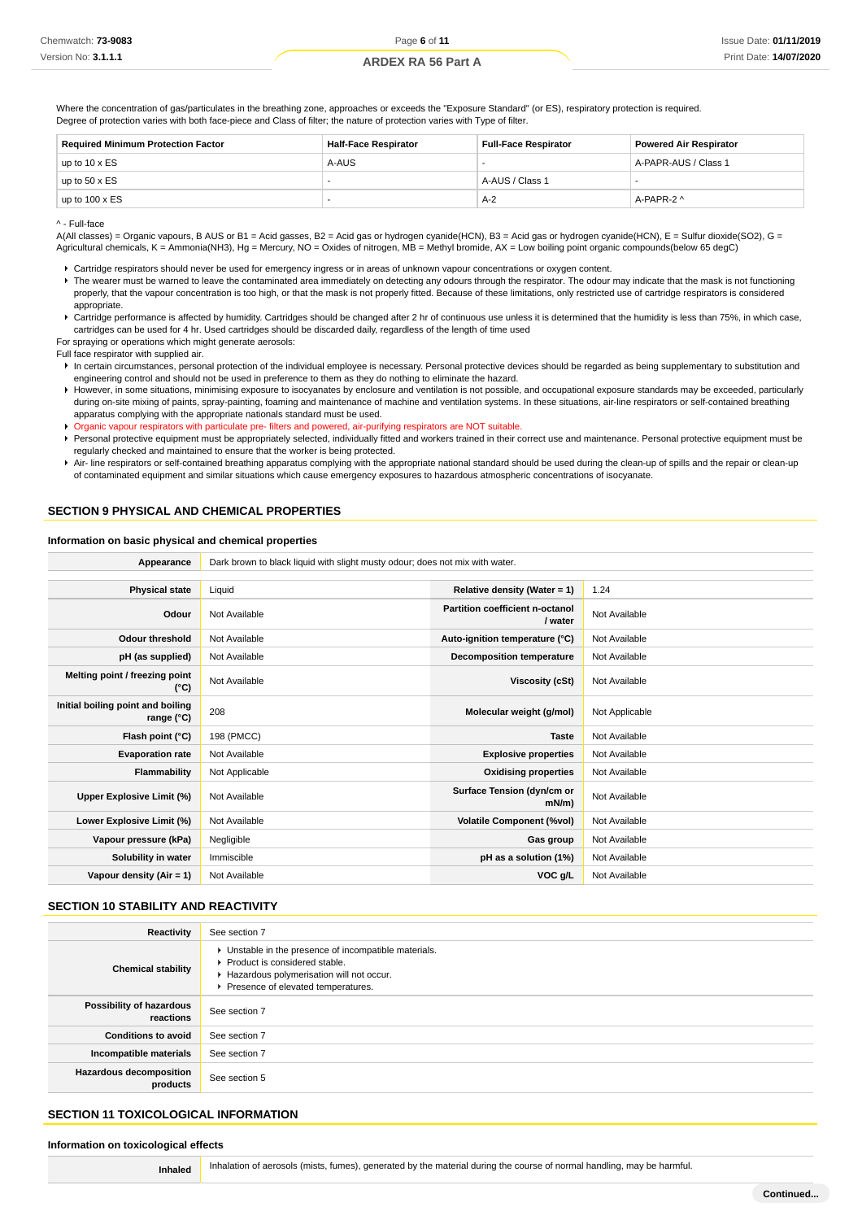Where the concentration of gas/particulates in the breathing zone, approaches or exceeds the "Exposure Standard" (or ES), respiratory protection is required. Degree of protection varies with both face-piece and Class of filter; the nature of protection varies with Type of filter.

| <b>Required Minimum Protection Factor</b> | <b>Half-Face Respirator</b> | <b>Full-Face Respirator</b> | <b>Powered Air Respirator</b> |  |
|-------------------------------------------|-----------------------------|-----------------------------|-------------------------------|--|
| up to $10 \times ES$                      | A-AUS                       |                             | A-PAPR-AUS / Class 1          |  |
| up to $50 \times ES$                      | -                           | A-AUS / Class 1             |                               |  |
| up to $100 \times ES$                     |                             | $A-2$                       | A-PAPR-2 ^                    |  |

^ - Full-face

A(All classes) = Organic vapours, B AUS or B1 = Acid gasses, B2 = Acid gas or hydrogen cyanide(HCN), B3 = Acid gas or hydrogen cyanide(HCN), E = Sulfur dioxide(SO2), G = Agricultural chemicals, K = Ammonia(NH3), Hg = Mercury, NO = Oxides of nitrogen, MB = Methyl bromide, AX = Low boiling point organic compounds(below 65 degC)

Cartridge respirators should never be used for emergency ingress or in areas of unknown vapour concentrations or oxygen content.

- ▶ The wearer must be warned to leave the contaminated area immediately on detecting any odours through the respirator. The odour may indicate that the mask is not functioning properly, that the vapour concentration is too high, or that the mask is not properly fitted. Because of these limitations, only restricted use of cartridge respirators is considered appropriate.
- ▶ Cartridge performance is affected by humidity. Cartridges should be changed after 2 hr of continuous use unless it is determined that the humidity is less than 75%, in which case, cartridges can be used for 4 hr. Used cartridges should be discarded daily, regardless of the length of time used

For spraying or operations which might generate aerosols:

Full face respirator with supplied air.

- In certain circumstances, personal protection of the individual employee is necessary. Personal protective devices should be regarded as being supplementary to substitution and engineering control and should not be used in preference to them as they do nothing to eliminate the hazard.
- However, in some situations, minimising exposure to isocyanates by enclosure and ventilation is not possible, and occupational exposure standards may be exceeded, particularly during on-site mixing of paints, spray-painting, foaming and maintenance of machine and ventilation systems. In these situations, air-line respirators or self-contained breathing apparatus complying with the appropriate nationals standard must be used.

Organic vapour respirators with particulate pre- filters and powered, air-purifying respirators are NOT suitable.

- Personal protective equipment must be appropriately selected, individually fitted and workers trained in their correct use and maintenance. Personal protective equipment must be regularly checked and maintained to ensure that the worker is being protected.
- Air- line respirators or self-contained breathing apparatus complying with the appropriate national standard should be used during the clean-up of spills and the repair or clean-up of contaminated equipment and similar situations which cause emergency exposures to hazardous atmospheric concentrations of isocyanate.

### **SECTION 9 PHYSICAL AND CHEMICAL PROPERTIES**

#### **Information on basic physical and chemical properties**

| Appearance                                      | Dark brown to black liquid with slight musty odour; does not mix with water. |                                            |                |  |  |
|-------------------------------------------------|------------------------------------------------------------------------------|--------------------------------------------|----------------|--|--|
|                                                 |                                                                              |                                            |                |  |  |
| <b>Physical state</b>                           | Liquid                                                                       | Relative density (Water = $1$ )            | 1.24           |  |  |
| Odour                                           | Not Available                                                                | Partition coefficient n-octanol<br>/ water | Not Available  |  |  |
| <b>Odour threshold</b>                          | Not Available                                                                | Auto-ignition temperature (°C)             | Not Available  |  |  |
| pH (as supplied)                                | Not Available                                                                | Decomposition temperature                  | Not Available  |  |  |
| Melting point / freezing point<br>(°C)          | Not Available                                                                | Viscosity (cSt)                            | Not Available  |  |  |
| Initial boiling point and boiling<br>range (°C) | 208                                                                          | Molecular weight (g/mol)                   | Not Applicable |  |  |
| Flash point (°C)                                | 198 (PMCC)                                                                   | <b>Taste</b>                               | Not Available  |  |  |
| <b>Evaporation rate</b>                         | Not Available                                                                | <b>Explosive properties</b>                | Not Available  |  |  |
| <b>Flammability</b>                             | Not Applicable                                                               | <b>Oxidising properties</b>                | Not Available  |  |  |
| Upper Explosive Limit (%)                       | Not Available                                                                | Surface Tension (dyn/cm or<br>$mN/m$ )     | Not Available  |  |  |
| Lower Explosive Limit (%)                       | Not Available                                                                | <b>Volatile Component (%vol)</b>           | Not Available  |  |  |
| Vapour pressure (kPa)                           | Negligible                                                                   | Gas group                                  | Not Available  |  |  |
| Solubility in water                             | Immiscible                                                                   | pH as a solution (1%)                      | Not Available  |  |  |
| Vapour density (Air = 1)                        | Not Available                                                                | VOC g/L                                    | Not Available  |  |  |

#### **SECTION 10 STABILITY AND REACTIVITY**

| Reactivity                                 | See section 7                                                                                                                                                              |
|--------------------------------------------|----------------------------------------------------------------------------------------------------------------------------------------------------------------------------|
| <b>Chemical stability</b>                  | • Unstable in the presence of incompatible materials.<br>▶ Product is considered stable.<br>Hazardous polymerisation will not occur.<br>Presence of elevated temperatures. |
| Possibility of hazardous<br>reactions      | See section 7                                                                                                                                                              |
| <b>Conditions to avoid</b>                 | See section 7                                                                                                                                                              |
| Incompatible materials                     | See section 7                                                                                                                                                              |
| <b>Hazardous decomposition</b><br>products | See section 5                                                                                                                                                              |

# **SECTION 11 TOXICOLOGICAL INFORMATION**

**Information on toxicological effects**

**Inhaled** Inhalation of aerosols (mists, fumes), generated by the material during the course of normal handling, may be harmful.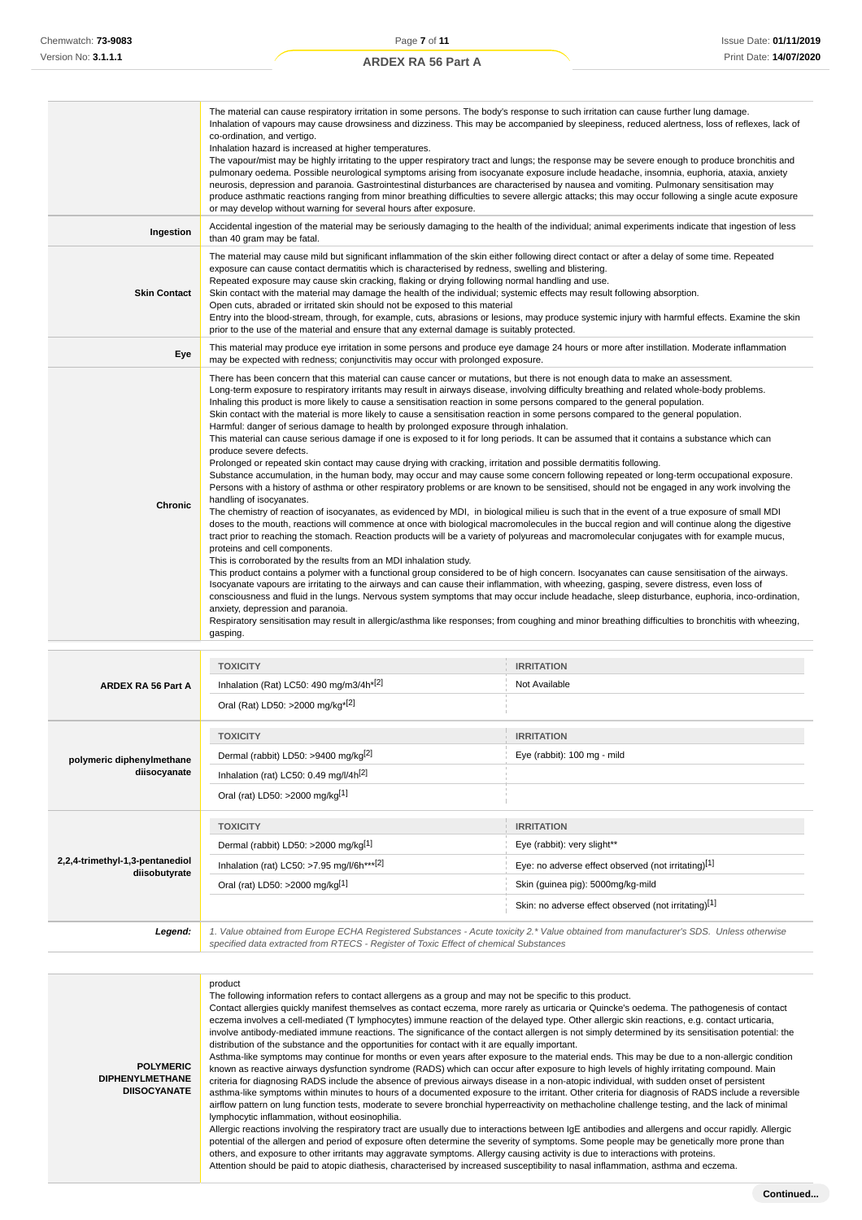|                     | The material can cause respiratory irritation in some persons. The body's response to such irritation can cause further lung damage.<br>Inhalation of vapours may cause drowsiness and dizziness. This may be accompanied by sleepiness, reduced alertness, loss of reflexes, lack of<br>co-ordination, and vertigo.<br>Inhalation hazard is increased at higher temperatures.<br>The vapour/mist may be highly irritating to the upper respiratory tract and lungs; the response may be severe enough to produce bronchitis and<br>pulmonary oedema. Possible neurological symptoms arising from isocyanate exposure include headache, insomnia, euphoria, ataxia, anxiety<br>neurosis, depression and paranoia. Gastrointestinal disturbances are characterised by nausea and vomiting. Pulmonary sensitisation may<br>produce asthmatic reactions ranging from minor breathing difficulties to severe allergic attacks; this may occur following a single acute exposure<br>or may develop without warning for several hours after exposure.                                                                                                                                                                                                                                                                                                                                                                                                                                                                                                                                                                                                                                                                                                                                                                                                                                                                                                                                                                                                                                                                                                                                                                                                                                                                                                                                                                                                                         |                   |  |  |  |
|---------------------|-------------------------------------------------------------------------------------------------------------------------------------------------------------------------------------------------------------------------------------------------------------------------------------------------------------------------------------------------------------------------------------------------------------------------------------------------------------------------------------------------------------------------------------------------------------------------------------------------------------------------------------------------------------------------------------------------------------------------------------------------------------------------------------------------------------------------------------------------------------------------------------------------------------------------------------------------------------------------------------------------------------------------------------------------------------------------------------------------------------------------------------------------------------------------------------------------------------------------------------------------------------------------------------------------------------------------------------------------------------------------------------------------------------------------------------------------------------------------------------------------------------------------------------------------------------------------------------------------------------------------------------------------------------------------------------------------------------------------------------------------------------------------------------------------------------------------------------------------------------------------------------------------------------------------------------------------------------------------------------------------------------------------------------------------------------------------------------------------------------------------------------------------------------------------------------------------------------------------------------------------------------------------------------------------------------------------------------------------------------------------------------------------------------------------------------------------------------------------|-------------------|--|--|--|
| Ingestion           | Accidental ingestion of the material may be seriously damaging to the health of the individual; animal experiments indicate that ingestion of less<br>than 40 gram may be fatal.                                                                                                                                                                                                                                                                                                                                                                                                                                                                                                                                                                                                                                                                                                                                                                                                                                                                                                                                                                                                                                                                                                                                                                                                                                                                                                                                                                                                                                                                                                                                                                                                                                                                                                                                                                                                                                                                                                                                                                                                                                                                                                                                                                                                                                                                                        |                   |  |  |  |
| <b>Skin Contact</b> | The material may cause mild but significant inflammation of the skin either following direct contact or after a delay of some time. Repeated<br>exposure can cause contact dermatitis which is characterised by redness, swelling and blistering.<br>Repeated exposure may cause skin cracking, flaking or drying following normal handling and use.<br>Skin contact with the material may damage the health of the individual; systemic effects may result following absorption.<br>Open cuts, abraded or irritated skin should not be exposed to this material<br>Entry into the blood-stream, through, for example, cuts, abrasions or lesions, may produce systemic injury with harmful effects. Examine the skin<br>prior to the use of the material and ensure that any external damage is suitably protected.                                                                                                                                                                                                                                                                                                                                                                                                                                                                                                                                                                                                                                                                                                                                                                                                                                                                                                                                                                                                                                                                                                                                                                                                                                                                                                                                                                                                                                                                                                                                                                                                                                                    |                   |  |  |  |
| Eye                 | This material may produce eye irritation in some persons and produce eye damage 24 hours or more after instillation. Moderate inflammation<br>may be expected with redness; conjunctivitis may occur with prolonged exposure.                                                                                                                                                                                                                                                                                                                                                                                                                                                                                                                                                                                                                                                                                                                                                                                                                                                                                                                                                                                                                                                                                                                                                                                                                                                                                                                                                                                                                                                                                                                                                                                                                                                                                                                                                                                                                                                                                                                                                                                                                                                                                                                                                                                                                                           |                   |  |  |  |
| Chronic             | There has been concern that this material can cause cancer or mutations, but there is not enough data to make an assessment.<br>Long-term exposure to respiratory irritants may result in airways disease, involving difficulty breathing and related whole-body problems.<br>Inhaling this product is more likely to cause a sensitisation reaction in some persons compared to the general population.<br>Skin contact with the material is more likely to cause a sensitisation reaction in some persons compared to the general population.<br>Harmful: danger of serious damage to health by prolonged exposure through inhalation.<br>This material can cause serious damage if one is exposed to it for long periods. It can be assumed that it contains a substance which can<br>produce severe defects.<br>Prolonged or repeated skin contact may cause drying with cracking, irritation and possible dermatitis following.<br>Substance accumulation, in the human body, may occur and may cause some concern following repeated or long-term occupational exposure.<br>Persons with a history of asthma or other respiratory problems or are known to be sensitised, should not be engaged in any work involving the<br>handling of isocyanates.<br>The chemistry of reaction of isocyanates, as evidenced by MDI, in biological milieu is such that in the event of a true exposure of small MDI<br>doses to the mouth, reactions will commence at once with biological macromolecules in the buccal region and will continue along the digestive<br>tract prior to reaching the stomach. Reaction products will be a variety of polyureas and macromolecular conjugates with for example mucus,<br>proteins and cell components.<br>This is corroborated by the results from an MDI inhalation study.<br>This product contains a polymer with a functional group considered to be of high concern. Isocyanates can cause sensitisation of the airways.<br>Isocyanate vapours are irritating to the airways and can cause their inflammation, with wheezing, gasping, severe distress, even loss of<br>consciousness and fluid in the lungs. Nervous system symptoms that may occur include headache, sleep disturbance, euphoria, inco-ordination,<br>anxiety, depression and paranoia.<br>Respiratory sensitisation may result in allergic/asthma like responses; from coughing and minor breathing difficulties to bronchitis with wheezing,<br>gasping. |                   |  |  |  |
|                     | <b>TOXICITY</b>                                                                                                                                                                                                                                                                                                                                                                                                                                                                                                                                                                                                                                                                                                                                                                                                                                                                                                                                                                                                                                                                                                                                                                                                                                                                                                                                                                                                                                                                                                                                                                                                                                                                                                                                                                                                                                                                                                                                                                                                                                                                                                                                                                                                                                                                                                                                                                                                                                                         | <b>IRRITATION</b> |  |  |  |
| ARDEX RA 56 Part A  | Inhalation (Rat) LC50: 490 mg/m3/4h*[2]                                                                                                                                                                                                                                                                                                                                                                                                                                                                                                                                                                                                                                                                                                                                                                                                                                                                                                                                                                                                                                                                                                                                                                                                                                                                                                                                                                                                                                                                                                                                                                                                                                                                                                                                                                                                                                                                                                                                                                                                                                                                                                                                                                                                                                                                                                                                                                                                                                 | Not Available     |  |  |  |
|                     | Oral (Rat) LD50: >2000 mg/kg <sup>*[2]</sup>                                                                                                                                                                                                                                                                                                                                                                                                                                                                                                                                                                                                                                                                                                                                                                                                                                                                                                                                                                                                                                                                                                                                                                                                                                                                                                                                                                                                                                                                                                                                                                                                                                                                                                                                                                                                                                                                                                                                                                                                                                                                                                                                                                                                                                                                                                                                                                                                                            |                   |  |  |  |

| polymeric diphenylmethane<br>diisocyanate        | <b>TOXICITY</b><br>Dermal (rabbit) LD50: >9400 mg/kg <sup>[2]</sup><br>Inhalation (rat) LC50: 0.49 mg/l/4h <sup>[2]</sup><br>Oral (rat) LD50: >2000 mg/kg[1] | <b>IRRITATION</b><br>Eye (rabbit): 100 mg - mild                                                                                                                                                     |  |  |
|--------------------------------------------------|--------------------------------------------------------------------------------------------------------------------------------------------------------------|------------------------------------------------------------------------------------------------------------------------------------------------------------------------------------------------------|--|--|
| 2,2,4-trimethyl-1,3-pentanediol<br>diisobutyrate | <b>TOXICITY</b><br>Dermal (rabbit) LD50: >2000 mg/kg[1]<br>Inhalation (rat) LC50: >7.95 mg/l/6h*** <sup>[2]</sup><br>Oral (rat) LD50: >2000 mg/kg[1]         | <b>IRRITATION</b><br>Eye (rabbit): very slight**<br>Eye: no adverse effect observed (not irritating)[1]<br>Skin (guinea pig): 5000mg/kg-mild<br>Skin: no adverse effect observed (not irritating)[1] |  |  |
| Legend:                                          | 1. Value obtained from Europe ECHA Registered Substances - Acute toxicity 2.* Value obtained from manufacturer's SDS. Unless otherwise                       |                                                                                                                                                                                                      |  |  |

specified data extracted from RTECS - Register of Toxic Effect of chemical Substances

**POLYMERIC DIPHENYLMETHANE DIISOCYANATE** product The following information refers to contact allergens as a group and may not be specific to this product. Contact allergies quickly manifest themselves as contact eczema, more rarely as urticaria or Quincke's oedema. The pathogenesis of contact eczema involves a cell-mediated (T lymphocytes) immune reaction of the delayed type. Other allergic skin reactions, e.g. contact urticaria, involve antibody-mediated immune reactions. The significance of the contact allergen is not simply determined by its sensitisation potential: the distribution of the substance and the opportunities for contact with it are equally important. Asthma-like symptoms may continue for months or even years after exposure to the material ends. This may be due to a non-allergic condition known as reactive airways dysfunction syndrome (RADS) which can occur after exposure to high levels of highly irritating compound. Main criteria for diagnosing RADS include the absence of previous airways disease in a non-atopic individual, with sudden onset of persistent asthma-like symptoms within minutes to hours of a documented exposure to the irritant. Other criteria for diagnosis of RADS include a reversible airflow pattern on lung function tests, moderate to severe bronchial hyperreactivity on methacholine challenge testing, and the lack of minimal lymphocytic inflammation, without eosinophilia. Allergic reactions involving the respiratory tract are usually due to interactions between IgE antibodies and allergens and occur rapidly. Allergic potential of the allergen and period of exposure often determine the severity of symptoms. Some people may be genetically more prone than others, and exposure to other irritants may aggravate symptoms. Allergy causing activity is due to interactions with proteins. Attention should be paid to atopic diathesis, characterised by increased susceptibility to nasal inflammation, asthma and eczema.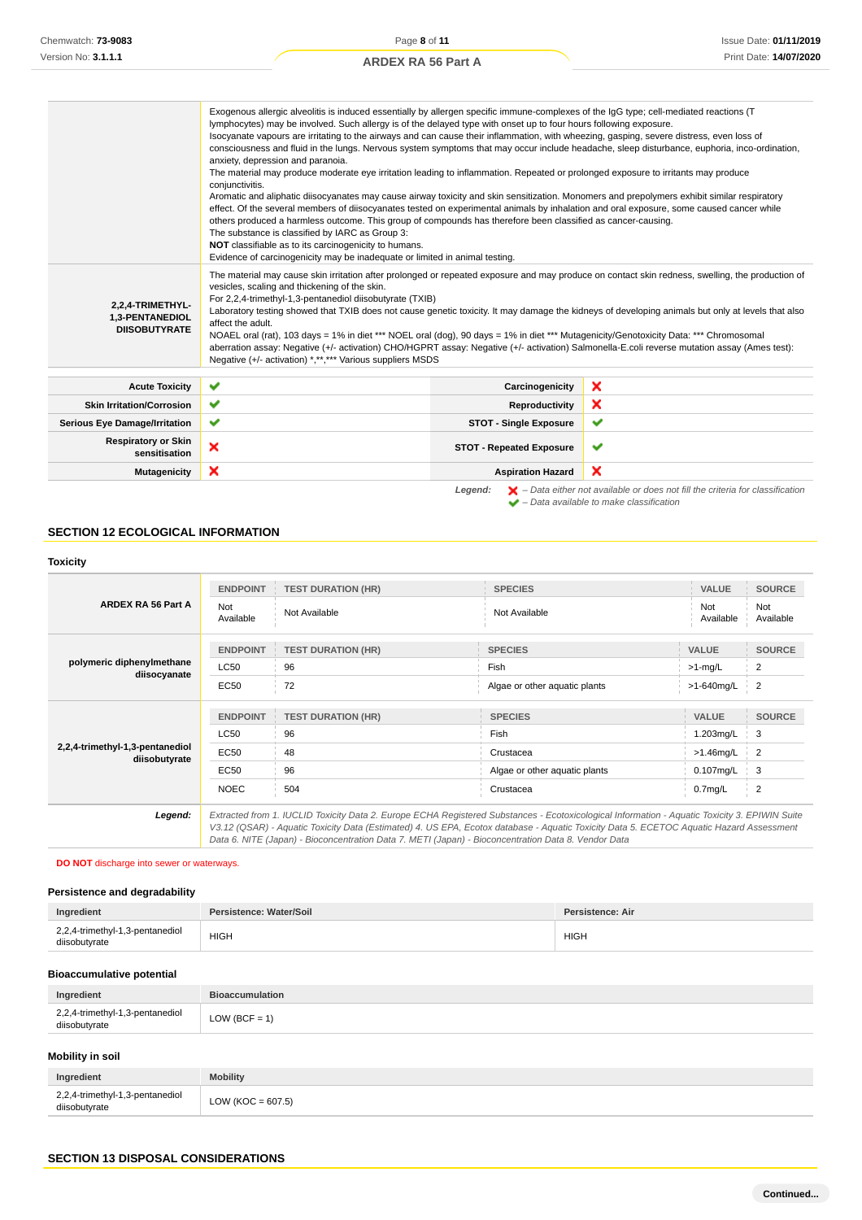|                                             | Exogenous allergic alveolitis is induced essentially by allergen specific immune-complexes of the IgG type; cell-mediated reactions (T<br>lymphocytes) may be involved. Such allergy is of the delayed type with onset up to four hours following exposure.                                                                                                                                                        |                                 |                                                                                                    |
|---------------------------------------------|--------------------------------------------------------------------------------------------------------------------------------------------------------------------------------------------------------------------------------------------------------------------------------------------------------------------------------------------------------------------------------------------------------------------|---------------------------------|----------------------------------------------------------------------------------------------------|
|                                             | Isocyanate vapours are irritating to the airways and can cause their inflammation, with wheezing, gasping, severe distress, even loss of                                                                                                                                                                                                                                                                           |                                 |                                                                                                    |
|                                             | consciousness and fluid in the lungs. Nervous system symptoms that may occur include headache, sleep disturbance, euphoria, inco-ordination,                                                                                                                                                                                                                                                                       |                                 |                                                                                                    |
|                                             | anxiety, depression and paranoia.                                                                                                                                                                                                                                                                                                                                                                                  |                                 |                                                                                                    |
|                                             | The material may produce moderate eye irritation leading to inflammation. Repeated or prolonged exposure to irritants may produce                                                                                                                                                                                                                                                                                  |                                 |                                                                                                    |
|                                             | conjunctivitis.                                                                                                                                                                                                                                                                                                                                                                                                    |                                 |                                                                                                    |
|                                             | Aromatic and aliphatic diisocyanates may cause airway toxicity and skin sensitization. Monomers and prepolymers exhibit similar respiratory                                                                                                                                                                                                                                                                        |                                 |                                                                                                    |
|                                             | effect. Of the several members of diisocyanates tested on experimental animals by inhalation and oral exposure, some caused cancer while<br>others produced a harmless outcome. This group of compounds has therefore been classified as cancer-causing.                                                                                                                                                           |                                 |                                                                                                    |
|                                             | The substance is classified by IARC as Group 3:                                                                                                                                                                                                                                                                                                                                                                    |                                 |                                                                                                    |
|                                             | NOT classifiable as to its carcinogenicity to humans.                                                                                                                                                                                                                                                                                                                                                              |                                 |                                                                                                    |
|                                             | Evidence of carcinogenicity may be inadequate or limited in animal testing.                                                                                                                                                                                                                                                                                                                                        |                                 |                                                                                                    |
| 2,2,4-TRIMETHYL-<br>1,3-PENTANEDIOL         | The material may cause skin irritation after prolonged or repeated exposure and may produce on contact skin redness, swelling, the production of<br>vesicles, scaling and thickening of the skin.<br>For 2,2,4-trimethyl-1,3-pentanediol diisobutyrate (TXIB)<br>Laboratory testing showed that TXIB does not cause genetic toxicity. It may damage the kidneys of developing animals but only at levels that also |                                 |                                                                                                    |
| <b>DIISOBUTYRATE</b>                        | affect the adult.                                                                                                                                                                                                                                                                                                                                                                                                  |                                 |                                                                                                    |
|                                             | NOAEL oral (rat), 103 days = 1% in diet *** NOEL oral (dog), 90 days = 1% in diet *** Mutagenicity/Genotoxicity Data: *** Chromosomal<br>aberration assay: Negative (+/- activation) CHO/HGPRT assay: Negative (+/- activation) Salmonella-E.coli reverse mutation assay (Ames test):<br>Negative (+/- activation) *,**,*** Various suppliers MSDS                                                                 |                                 |                                                                                                    |
|                                             |                                                                                                                                                                                                                                                                                                                                                                                                                    |                                 |                                                                                                    |
|                                             |                                                                                                                                                                                                                                                                                                                                                                                                                    |                                 |                                                                                                    |
| <b>Acute Toxicity</b>                       | ✔                                                                                                                                                                                                                                                                                                                                                                                                                  | Carcinogenicity                 | ×                                                                                                  |
| <b>Skin Irritation/Corrosion</b>            | ✔                                                                                                                                                                                                                                                                                                                                                                                                                  | Reproductivity                  | ×                                                                                                  |
| <b>Serious Eye Damage/Irritation</b>        | ✔                                                                                                                                                                                                                                                                                                                                                                                                                  | <b>STOT - Single Exposure</b>   | ✔                                                                                                  |
| <b>Respiratory or Skin</b><br>sensitisation | ×                                                                                                                                                                                                                                                                                                                                                                                                                  | <b>STOT - Repeated Exposure</b> | ✔                                                                                                  |
| Mutagenicity                                | ×                                                                                                                                                                                                                                                                                                                                                                                                                  | <b>Aspiration Hazard</b>        | ×                                                                                                  |
|                                             |                                                                                                                                                                                                                                                                                                                                                                                                                    | Legend:                         | $\blacktriangleright$ - Data either not available or does not fill the criteria for classification |
|                                             |                                                                                                                                                                                                                                                                                                                                                                                                                    |                                 | $\blacktriangleright$ - Data available to make classification                                      |

# **SECTION 12 ECOLOGICAL INFORMATION**

# **Toxicity**

|                                                  | <b>ENDPOINT</b>  | <b>TEST DURATION (HR)</b>                                                                                                                                                                                                                                                                                                                                                                       | <b>SPECIES</b>                | <b>VALUE</b>        | <b>SOURCE</b>    |
|--------------------------------------------------|------------------|-------------------------------------------------------------------------------------------------------------------------------------------------------------------------------------------------------------------------------------------------------------------------------------------------------------------------------------------------------------------------------------------------|-------------------------------|---------------------|------------------|
| ARDEX RA 56 Part A                               | Not<br>Available | Not Available                                                                                                                                                                                                                                                                                                                                                                                   | Not Available                 | Not<br>Available    | Not<br>Available |
|                                                  | <b>ENDPOINT</b>  | <b>TEST DURATION (HR)</b>                                                                                                                                                                                                                                                                                                                                                                       | <b>SPECIES</b>                | <b>VALUE</b>        | <b>SOURCE</b>    |
| polymeric diphenylmethane                        | LC50             | 96                                                                                                                                                                                                                                                                                                                                                                                              | Fish                          | $>1$ -mg/L          | 2                |
| diisocyanate                                     | EC50             | 72                                                                                                                                                                                                                                                                                                                                                                                              | Algae or other aquatic plants | >1-640mg/L          | $\overline{2}$   |
|                                                  |                  |                                                                                                                                                                                                                                                                                                                                                                                                 |                               |                     |                  |
|                                                  | <b>ENDPOINT</b>  | <b>TEST DURATION (HR)</b>                                                                                                                                                                                                                                                                                                                                                                       | <b>SPECIES</b>                | <b>VALUE</b>        | <b>SOURCE</b>    |
|                                                  | <b>LC50</b>      | 96                                                                                                                                                                                                                                                                                                                                                                                              | <b>Fish</b>                   | 1.203mg/L           | 3                |
| 2,2,4-trimethyl-1,3-pentanediol<br>diisobutyrate | EC50             | 48                                                                                                                                                                                                                                                                                                                                                                                              | Crustacea                     | $>1.46$ mg/L        | 2                |
|                                                  | EC50             | 96                                                                                                                                                                                                                                                                                                                                                                                              | Algae or other aquatic plants | 0.107mg/L           | 3                |
|                                                  | <b>NOEC</b>      | 504                                                                                                                                                                                                                                                                                                                                                                                             | Crustacea                     | 0.7 <sub>mg/L</sub> | 2                |
| Legend:                                          |                  | Extracted from 1. IUCLID Toxicity Data 2. Europe ECHA Registered Substances - Ecotoxicological Information - Aquatic Toxicity 3. EPIWIN Suite<br>V3.12 (QSAR) - Aquatic Toxicity Data (Estimated) 4. US EPA, Ecotox database - Aquatic Toxicity Data 5. ECETOC Aquatic Hazard Assessment<br>Data 6. NITE (Japan) - Bioconcentration Data 7. METI (Japan) - Bioconcentration Data 8. Vendor Data |                               |                     |                  |

# **DO NOT** discharge into sewer or waterways.

# **Persistence and degradability**

| Ingredient                                       | Persistence: Water/Soil | Persistence: Air |
|--------------------------------------------------|-------------------------|------------------|
| 2,2,4-trimethyl-1,3-pentanediol<br>diisobutyrate | <b>HIGH</b>             | <b>HIGH</b>      |
|                                                  |                         |                  |

# **Bioaccumulative potential**

| Ingredient                                       | <b>Bioaccumulation</b> |
|--------------------------------------------------|------------------------|
| 2,2,4-trimethyl-1,3-pentanediol<br>diisobutyrate | $LOW (BCF = 1)$        |

## **Mobility in soil**

| Ingredient                                       | <b>Mobility</b>       |
|--------------------------------------------------|-----------------------|
| 2,2,4-trimethyl-1,3-pentanediol<br>diisobutyrate | LOW ( $KOC = 607.5$ ) |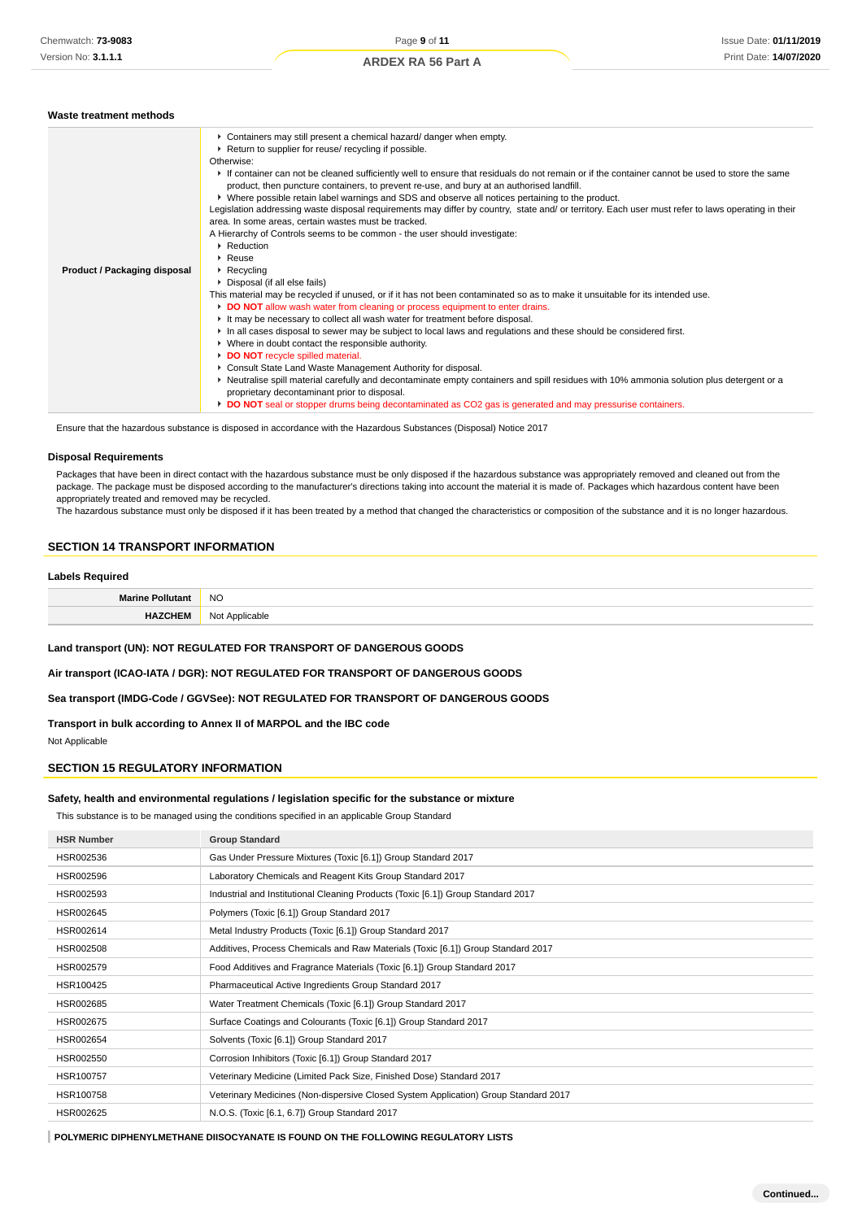| Waste treatment methods      |                                                                                                                                                                                                                                                                                                                                                                                                                                                                                                                                                                                                                                                                                                                                                                                                                                                                                                                                                                                                                                                                                                                                                                                                                                                                                                                                                                                                                                                                                                                                                                                                                                                                                                                                                                                                             |
|------------------------------|-------------------------------------------------------------------------------------------------------------------------------------------------------------------------------------------------------------------------------------------------------------------------------------------------------------------------------------------------------------------------------------------------------------------------------------------------------------------------------------------------------------------------------------------------------------------------------------------------------------------------------------------------------------------------------------------------------------------------------------------------------------------------------------------------------------------------------------------------------------------------------------------------------------------------------------------------------------------------------------------------------------------------------------------------------------------------------------------------------------------------------------------------------------------------------------------------------------------------------------------------------------------------------------------------------------------------------------------------------------------------------------------------------------------------------------------------------------------------------------------------------------------------------------------------------------------------------------------------------------------------------------------------------------------------------------------------------------------------------------------------------------------------------------------------------------|
| Product / Packaging disposal | Containers may still present a chemical hazard/ danger when empty.<br>▶ Return to supplier for reuse/ recycling if possible.<br>Otherwise:<br>If container can not be cleaned sufficiently well to ensure that residuals do not remain or if the container cannot be used to store the same<br>product, then puncture containers, to prevent re-use, and bury at an authorised landfill.<br>▶ Where possible retain label warnings and SDS and observe all notices pertaining to the product.<br>Legislation addressing waste disposal requirements may differ by country, state and/ or territory. Each user must refer to laws operating in their<br>area. In some areas, certain wastes must be tracked.<br>A Hierarchy of Controls seems to be common - the user should investigate:<br>$\blacktriangleright$ Reduction<br>$\triangleright$ Reuse<br>$\triangleright$ Recycling<br>Disposal (if all else fails)<br>This material may be recycled if unused, or if it has not been contaminated so as to make it unsuitable for its intended use.<br>DO NOT allow wash water from cleaning or process equipment to enter drains.<br>It may be necessary to collect all wash water for treatment before disposal.<br>In all cases disposal to sewer may be subject to local laws and regulations and these should be considered first.<br>• Where in doubt contact the responsible authority.<br>DO NOT recycle spilled material.<br>Consult State Land Waste Management Authority for disposal.<br>▶ Neutralise spill material carefully and decontaminate empty containers and spill residues with 10% ammonia solution plus detergent or a<br>proprietary decontaminant prior to disposal.<br>DO NOT seal or stopper drums being decontaminated as CO2 gas is generated and may pressurise containers. |
|                              |                                                                                                                                                                                                                                                                                                                                                                                                                                                                                                                                                                                                                                                                                                                                                                                                                                                                                                                                                                                                                                                                                                                                                                                                                                                                                                                                                                                                                                                                                                                                                                                                                                                                                                                                                                                                             |

Ensure that the hazardous substance is disposed in accordance with the Hazardous Substances (Disposal) Notice 2017

#### **Disposal Requirements**

Packages that have been in direct contact with the hazardous substance must be only disposed if the hazardous substance was appropriately removed and cleaned out from the package. The package must be disposed according to the manufacturer's directions taking into account the material it is made of. Packages which hazardous content have been appropriately treated and removed may be recycled.

The hazardous substance must only be disposed if it has been treated by a method that changed the characteristics or composition of the substance and it is no longer hazardous.

## **SECTION 14 TRANSPORT INFORMATION**

#### **Labels Required**

| <b>Marine Polluta</b> | <b>NO</b>      |
|-----------------------|----------------|
| HAZCHEM               | Not Applicable |

**Land transport (UN): NOT REGULATED FOR TRANSPORT OF DANGEROUS GOODS**

**Air transport (ICAO-IATA / DGR): NOT REGULATED FOR TRANSPORT OF DANGEROUS GOODS**

**Sea transport (IMDG-Code / GGVSee): NOT REGULATED FOR TRANSPORT OF DANGEROUS GOODS**

**Transport in bulk according to Annex II of MARPOL and the IBC code**

Not Applicable

## **SECTION 15 REGULATORY INFORMATION**

#### **Safety, health and environmental regulations / legislation specific for the substance or mixture**

This substance is to be managed using the conditions specified in an applicable Group Standard

| <b>HSR Number</b> | <b>Group Standard</b>                                                               |
|-------------------|-------------------------------------------------------------------------------------|
| HSR002536         | Gas Under Pressure Mixtures (Toxic [6.1]) Group Standard 2017                       |
| HSR002596         | Laboratory Chemicals and Reagent Kits Group Standard 2017                           |
| HSR002593         | Industrial and Institutional Cleaning Products (Toxic [6.1]) Group Standard 2017    |
| HSR002645         | Polymers (Toxic [6.1]) Group Standard 2017                                          |
| HSR002614         | Metal Industry Products (Toxic [6.1]) Group Standard 2017                           |
| HSR002508         | Additives, Process Chemicals and Raw Materials (Toxic [6.1]) Group Standard 2017    |
| HSR002579         | Food Additives and Fragrance Materials (Toxic [6.1]) Group Standard 2017            |
| HSR100425         | Pharmaceutical Active Ingredients Group Standard 2017                               |
| HSR002685         | Water Treatment Chemicals (Toxic [6.1]) Group Standard 2017                         |
| HSR002675         | Surface Coatings and Colourants (Toxic [6.1]) Group Standard 2017                   |
| HSR002654         | Solvents (Toxic [6.1]) Group Standard 2017                                          |
| HSR002550         | Corrosion Inhibitors (Toxic [6.1]) Group Standard 2017                              |
| HSR100757         | Veterinary Medicine (Limited Pack Size, Finished Dose) Standard 2017                |
| HSR100758         | Veterinary Medicines (Non-dispersive Closed System Application) Group Standard 2017 |
| HSR002625         | N.O.S. (Toxic [6.1, 6.7]) Group Standard 2017                                       |

**POLYMERIC DIPHENYLMETHANE DIISOCYANATE IS FOUND ON THE FOLLOWING REGULATORY LISTS**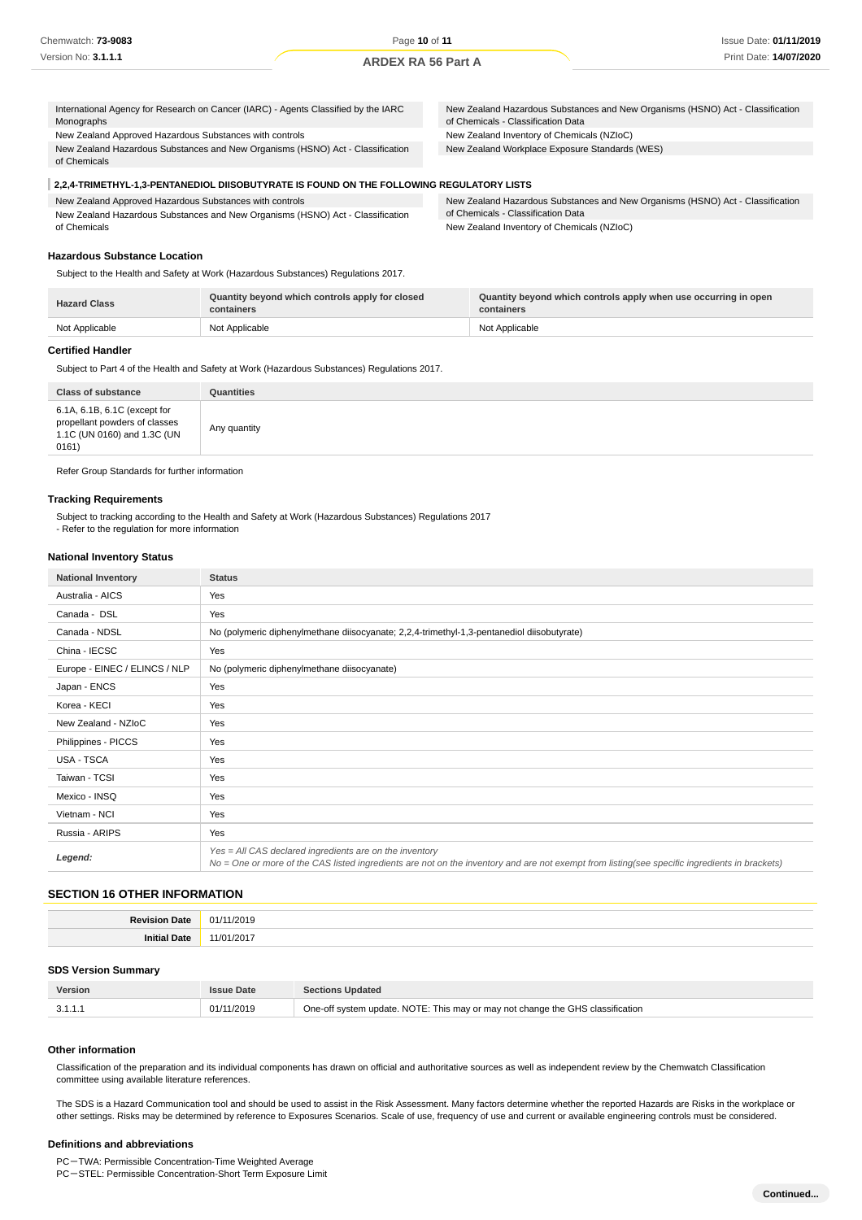| International Agency for Research on Cancer (IARC) - Agents Classified by the IARC<br>New Zealand Hazardous Substances and New Organisms (HSNO) Act - Classification<br>of Chemicals - Classification Data<br>Monographs |  |
|--------------------------------------------------------------------------------------------------------------------------------------------------------------------------------------------------------------------------|--|
| New Zealand Approved Hazardous Substances with controls<br>New Zealand Inventory of Chemicals (NZIoC)                                                                                                                    |  |
| New Zealand Hazardous Substances and New Organisms (HSNO) Act - Classification<br>New Zealand Workplace Exposure Standards (WES)                                                                                         |  |
| of Chemicals                                                                                                                                                                                                             |  |

# **2,2,4-TRIMETHYL-1,3-PENTANEDIOL DIISOBUTYRATE IS FOUND ON THE FOLLOWING REGULATORY LISTS**

| New Zealand Approved Hazardous Substances with controls                        | New Zealand Hazardous Substances and New Organisms (HSNO) Act - Classification |
|--------------------------------------------------------------------------------|--------------------------------------------------------------------------------|
| New Zealand Hazardous Substances and New Organisms (HSNO) Act - Classification | of Chemicals - Classification Data                                             |
| of Chemicals                                                                   | New Zealand Inventory of Chemicals (NZIoC)                                     |

## **Hazardous Substance Location**

Subject to the Health and Safety at Work (Hazardous Substances) Regulations 2017.

| <b>Hazard Class</b> | Quantity beyond which controls apply for closed<br>containers | Quantity beyond which controls apply when use occurring in open<br>containers |
|---------------------|---------------------------------------------------------------|-------------------------------------------------------------------------------|
| Not Applicable      | Not Applicable                                                | Not Applicable                                                                |

#### **Certified Handler**

Subject to Part 4 of the Health and Safety at Work (Hazardous Substances) Regulations 2017.

| <b>Class of substance</b>                                                                             | Quantities   |
|-------------------------------------------------------------------------------------------------------|--------------|
| 6.1A, 6.1B, 6.1C (except for<br>propellant powders of classes<br>1.1C (UN 0160) and 1.3C (UN<br>0161) | Any quantity |

Refer Group Standards for further information

## **Tracking Requirements**

Subject to tracking according to the Health and Safety at Work (Hazardous Substances) Regulations 2017 - Refer to the regulation for more information

#### **National Inventory Status**

| <b>National Inventory</b>     | <b>Status</b>                                                                                                                                                                                              |  |  |
|-------------------------------|------------------------------------------------------------------------------------------------------------------------------------------------------------------------------------------------------------|--|--|
| Australia - AICS              | Yes                                                                                                                                                                                                        |  |  |
| Canada - DSL                  | Yes                                                                                                                                                                                                        |  |  |
| Canada - NDSL                 | No (polymeric diphenylmethane diisocyanate; 2,2,4-trimethyl-1,3-pentanediol diisobutyrate)                                                                                                                 |  |  |
| China - IECSC                 | Yes                                                                                                                                                                                                        |  |  |
| Europe - EINEC / ELINCS / NLP | No (polymeric diphenylmethane diisocyanate)                                                                                                                                                                |  |  |
| Japan - ENCS                  | Yes                                                                                                                                                                                                        |  |  |
| Korea - KECI                  | Yes                                                                                                                                                                                                        |  |  |
| New Zealand - NZIoC           | Yes                                                                                                                                                                                                        |  |  |
| Philippines - PICCS           | Yes                                                                                                                                                                                                        |  |  |
| USA - TSCA                    | Yes                                                                                                                                                                                                        |  |  |
| Taiwan - TCSI                 | Yes                                                                                                                                                                                                        |  |  |
| Mexico - INSQ                 | Yes                                                                                                                                                                                                        |  |  |
| Vietnam - NCI                 | Yes                                                                                                                                                                                                        |  |  |
| Russia - ARIPS                | Yes                                                                                                                                                                                                        |  |  |
| Legend:                       | $Yes = All CAS declared ingredients are on the inventory$<br>No = One or more of the CAS listed ingredients are not on the inventory and are not exempt from listing(see specific ingredients in brackets) |  |  |

## **SECTION 16 OTHER INFORMATION**

| Revision | 1/2019 |
|----------|--------|
| Date     | Ω1,    |
| initi    | 1/201  |
| wale     | .      |

#### **SDS Version Summary**

| <b>Version</b> | <b>Issue Date</b> | <b>Sections Updated</b>                                                        |
|----------------|-------------------|--------------------------------------------------------------------------------|
|                | 01/11/2019        | One-off system update. NOTE: This may or may not change the GHS classification |

#### **Other information**

Classification of the preparation and its individual components has drawn on official and authoritative sources as well as independent review by the Chemwatch Classification committee using available literature references.

The SDS is a Hazard Communication tool and should be used to assist in the Risk Assessment. Many factors determine whether the reported Hazards are Risks in the workplace or other settings. Risks may be determined by reference to Exposures Scenarios. Scale of use, frequency of use and current or available engineering controls must be considered.

#### **Definitions and abbreviations**

PC-TWA: Permissible Concentration-Time Weighted Average

PC-STEL: Permissible Concentration-Short Term Exposure Limit